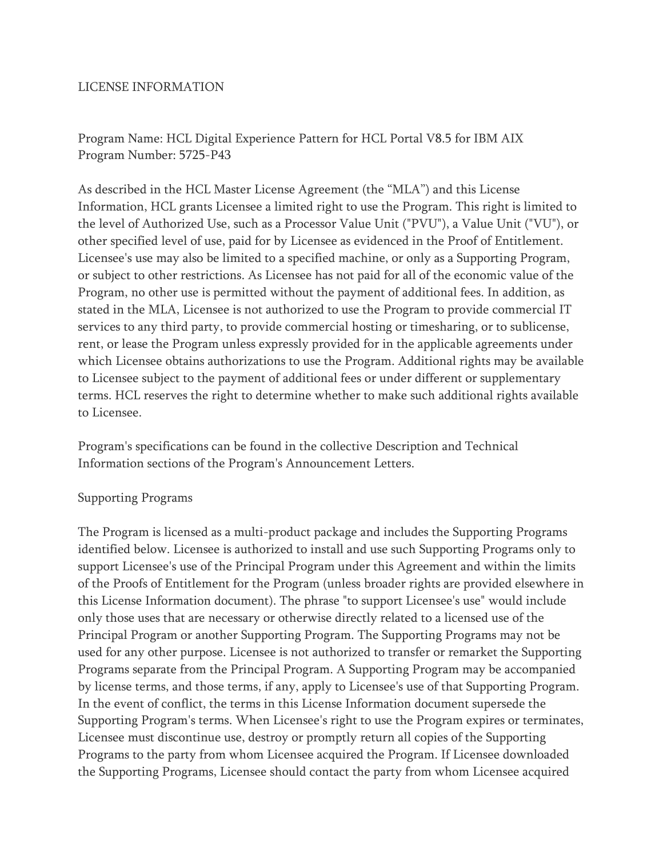## LICENSE INFORMATION

Program Name: HCL Digital Experience Pattern for HCL Portal V8.5 for IBM AIX Program Number: 5725-P43

As described in the HCL Master License Agreement (the "MLA") and this License Information, HCL grants Licensee a limited right to use the Program. This right is limited to the level of Authorized Use, such as a Processor Value Unit ("PVU"), a Value Unit ("VU"), or other specified level of use, paid for by Licensee as evidenced in the Proof of Entitlement. Licensee's use may also be limited to a specified machine, or only as a Supporting Program, or subject to other restrictions. As Licensee has not paid for all of the economic value of the Program, no other use is permitted without the payment of additional fees. In addition, as stated in the MLA, Licensee is not authorized to use the Program to provide commercial IT services to any third party, to provide commercial hosting or timesharing, or to sublicense, rent, or lease the Program unless expressly provided for in the applicable agreements under which Licensee obtains authorizations to use the Program. Additional rights may be available to Licensee subject to the payment of additional fees or under different or supplementary terms. HCL reserves the right to determine whether to make such additional rights available to Licensee.

Program's specifications can be found in the collective Description and Technical Information sections of the Program's Announcement Letters.

## Supporting Programs

The Program is licensed as a multi-product package and includes the Supporting Programs identified below. Licensee is authorized to install and use such Supporting Programs only to support Licensee's use of the Principal Program under this Agreement and within the limits of the Proofs of Entitlement for the Program (unless broader rights are provided elsewhere in this License Information document). The phrase "to support Licensee's use" would include only those uses that are necessary or otherwise directly related to a licensed use of the Principal Program or another Supporting Program. The Supporting Programs may not be used for any other purpose. Licensee is not authorized to transfer or remarket the Supporting Programs separate from the Principal Program. A Supporting Program may be accompanied by license terms, and those terms, if any, apply to Licensee's use of that Supporting Program. In the event of conflict, the terms in this License Information document supersede the Supporting Program's terms. When Licensee's right to use the Program expires or terminates, Licensee must discontinue use, destroy or promptly return all copies of the Supporting Programs to the party from whom Licensee acquired the Program. If Licensee downloaded the Supporting Programs, Licensee should contact the party from whom Licensee acquired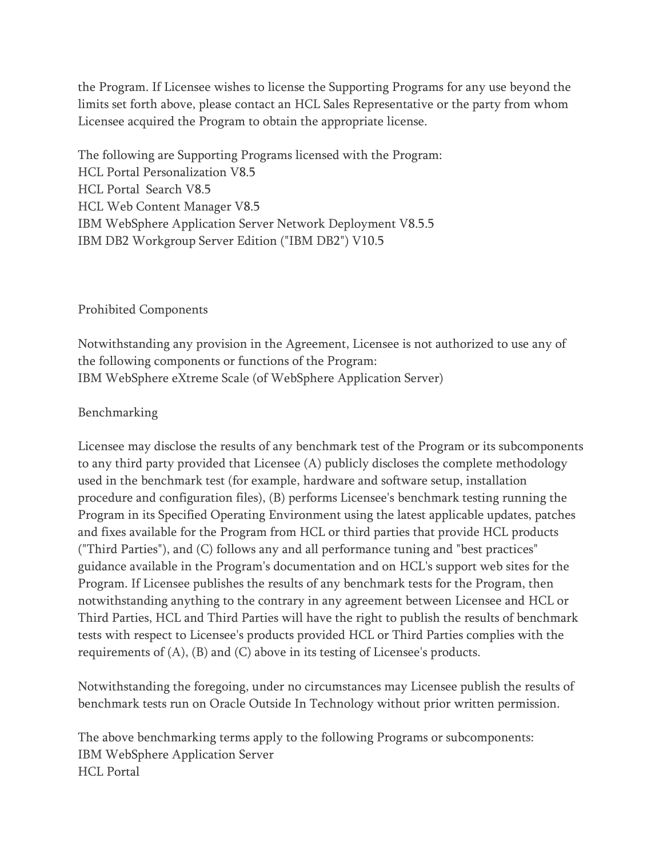the Program. If Licensee wishes to license the Supporting Programs for any use beyond the limits set forth above, please contact an HCL Sales Representative or the party from whom Licensee acquired the Program to obtain the appropriate license.

The following are Supporting Programs licensed with the Program: HCL Portal Personalization V8.5 HCL Portal Search V8.5 HCL Web Content Manager V8.5 IBM WebSphere Application Server Network Deployment V8.5.5 IBM DB2 Workgroup Server Edition ("IBM DB2") V10.5

## Prohibited Components

Notwithstanding any provision in the Agreement, Licensee is not authorized to use any of the following components or functions of the Program: IBM WebSphere eXtreme Scale (of WebSphere Application Server)

## Benchmarking

Licensee may disclose the results of any benchmark test of the Program or its subcomponents to any third party provided that Licensee (A) publicly discloses the complete methodology used in the benchmark test (for example, hardware and software setup, installation procedure and configuration files), (B) performs Licensee's benchmark testing running the Program in its Specified Operating Environment using the latest applicable updates, patches and fixes available for the Program from HCL or third parties that provide HCL products ("Third Parties"), and (C) follows any and all performance tuning and "best practices" guidance available in the Program's documentation and on HCL's support web sites for the Program. If Licensee publishes the results of any benchmark tests for the Program, then notwithstanding anything to the contrary in any agreement between Licensee and HCL or Third Parties, HCL and Third Parties will have the right to publish the results of benchmark tests with respect to Licensee's products provided HCL or Third Parties complies with the requirements of (A), (B) and (C) above in its testing of Licensee's products.

Notwithstanding the foregoing, under no circumstances may Licensee publish the results of benchmark tests run on Oracle Outside In Technology without prior written permission.

The above benchmarking terms apply to the following Programs or subcomponents: IBM WebSphere Application Server HCL Portal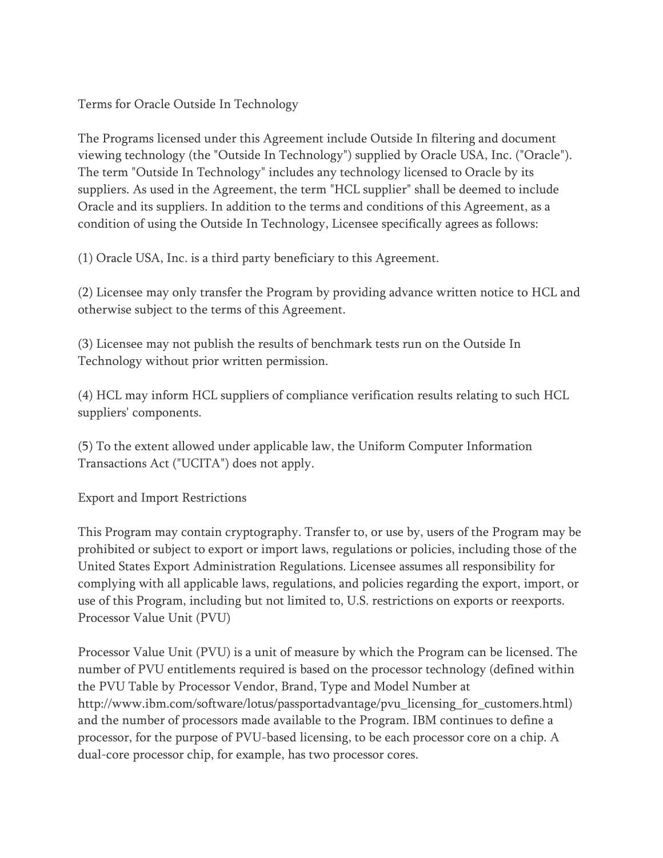Terms for Oracle Outside In Technology

The Programs licensed under this Agreement include Outside In filtering and document viewing technology (the "Outside In Technology") supplied by Oracle USA, Inc. ("Oracle"). The term "Outside In Technology" includes any technology licensed to Oracle by its suppliers. As used in the Agreement, the term "HCL supplier" shall be deemed to include Oracle and its suppliers. In addition to the terms and conditions of this Agreement, as a condition of using the Outside In Technology, Licensee specifically agrees as follows:

(1) Oracle USA, Inc. is a third party beneficiary to this Agreement.

(2) Licensee may only transfer the Program by providing advance written notice to HCL and otherwise subject to the terms of this Agreement.

(3) Licensee may not publish the results of benchmark tests run on the Outside In Technology without prior written permission.

(4) HCL may inform HCL suppliers of compliance verification results relating to such HCL suppliers' components.

(5) To the extent allowed under applicable law, the Uniform Computer Information Transactions Act ("UCITA") does not apply.

Export and Import Restrictions

This Program may contain cryptography. Transfer to, or use by, users of the Program may be prohibited or subject to export or import laws, regulations or policies, including those of the United States Export Administration Regulations. Licensee assumes all responsibility for complying with all applicable laws, regulations, and policies regarding the export, import, or use of this Program, including but not limited to, U.S. restrictions on exports or reexports. Processor Value Unit (PVU)

Processor Value Unit (PVU) is a unit of measure by which the Program can be licensed. The number of PVU entitlements required is based on the processor technology (defined within the PVU Table by Processor Vendor, Brand, Type and Model Number at http://www.ibm.com/software/lotus/passportadvantage/pvu\_licensing\_for\_customers.html) and the number of processors made available to the Program. IBM continues to define a processor, for the purpose of PVU-based licensing, to be each processor core on a chip. A dual-core processor chip, for example, has two processor cores.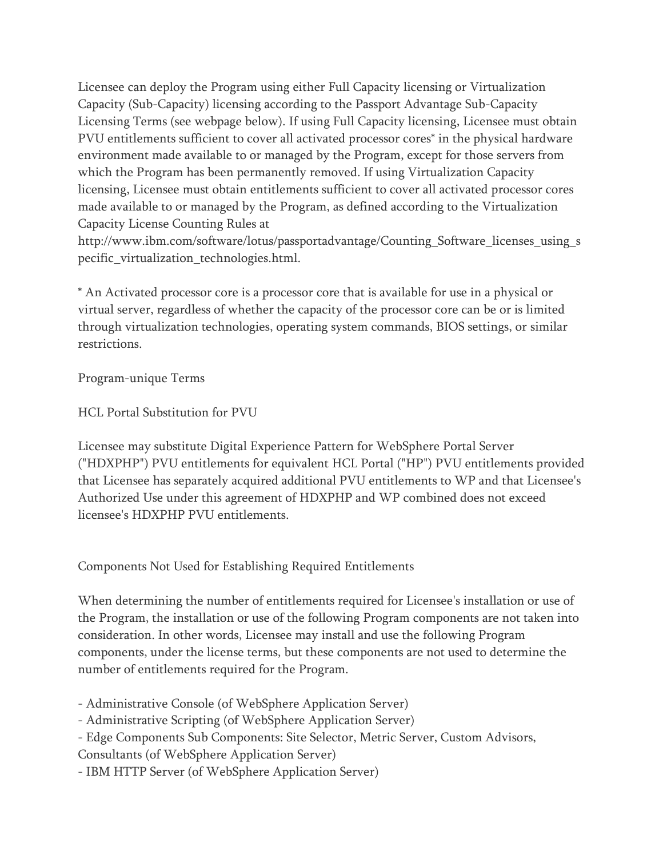Licensee can deploy the Program using either Full Capacity licensing or Virtualization Capacity (Sub-Capacity) licensing according to the Passport Advantage Sub-Capacity Licensing Terms (see webpage below). If using Full Capacity licensing, Licensee must obtain PVU entitlements sufficient to cover all activated processor cores\* in the physical hardware environment made available to or managed by the Program, except for those servers from which the Program has been permanently removed. If using Virtualization Capacity licensing, Licensee must obtain entitlements sufficient to cover all activated processor cores made available to or managed by the Program, as defined according to the Virtualization Capacity License Counting Rules at

http://www.ibm.com/software/lotus/passportadvantage/Counting\_Software\_licenses\_using\_s pecific\_virtualization\_technologies.html.

\* An Activated processor core is a processor core that is available for use in a physical or virtual server, regardless of whether the capacity of the processor core can be or is limited through virtualization technologies, operating system commands, BIOS settings, or similar restrictions.

Program-unique Terms

HCL Portal Substitution for PVU

Licensee may substitute Digital Experience Pattern for WebSphere Portal Server ("HDXPHP") PVU entitlements for equivalent HCL Portal ("HP") PVU entitlements provided that Licensee has separately acquired additional PVU entitlements to WP and that Licensee's Authorized Use under this agreement of HDXPHP and WP combined does not exceed licensee's HDXPHP PVU entitlements.

Components Not Used for Establishing Required Entitlements

When determining the number of entitlements required for Licensee's installation or use of the Program, the installation or use of the following Program components are not taken into consideration. In other words, Licensee may install and use the following Program components, under the license terms, but these components are not used to determine the number of entitlements required for the Program.

- Administrative Console (of WebSphere Application Server)

- Administrative Scripting (of WebSphere Application Server)

- Edge Components Sub Components: Site Selector, Metric Server, Custom Advisors,

Consultants (of WebSphere Application Server)

- IBM HTTP Server (of WebSphere Application Server)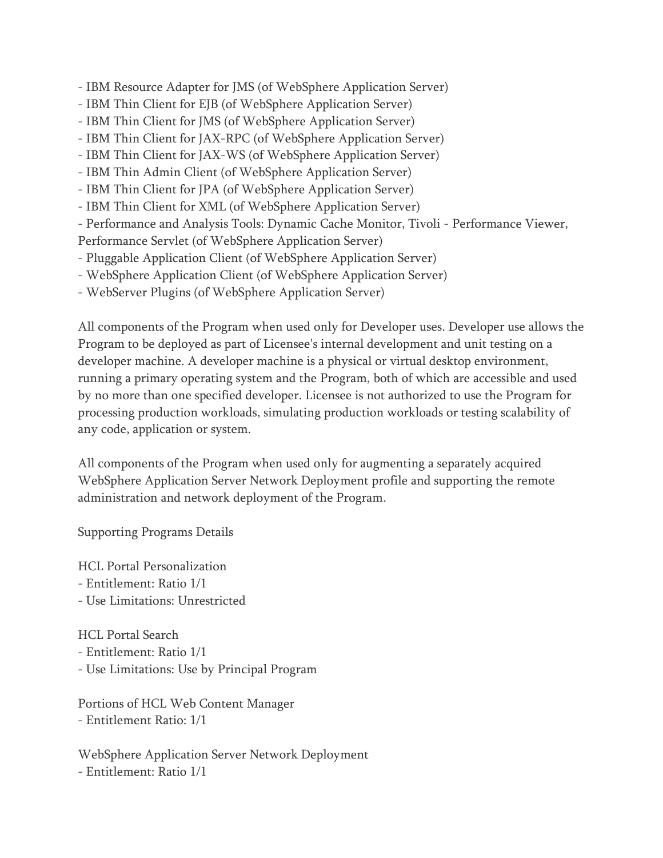- IBM Resource Adapter for JMS (of WebSphere Application Server)

- IBM Thin Client for EJB (of WebSphere Application Server)
- IBM Thin Client for JMS (of WebSphere Application Server)
- IBM Thin Client for JAX-RPC (of WebSphere Application Server)
- IBM Thin Client for JAX-WS (of WebSphere Application Server)
- IBM Thin Admin Client (of WebSphere Application Server)
- IBM Thin Client for JPA (of WebSphere Application Server)
- IBM Thin Client for XML (of WebSphere Application Server)

- Performance and Analysis Tools: Dynamic Cache Monitor, Tivoli - Performance Viewer,

Performance Servlet (of WebSphere Application Server)

- Pluggable Application Client (of WebSphere Application Server)
- WebSphere Application Client (of WebSphere Application Server)
- WebServer Plugins (of WebSphere Application Server)

All components of the Program when used only for Developer uses. Developer use allows the Program to be deployed as part of Licensee's internal development and unit testing on a developer machine. A developer machine is a physical or virtual desktop environment, running a primary operating system and the Program, both of which are accessible and used by no more than one specified developer. Licensee is not authorized to use the Program for processing production workloads, simulating production workloads or testing scalability of any code, application or system.

All components of the Program when used only for augmenting a separately acquired WebSphere Application Server Network Deployment profile and supporting the remote administration and network deployment of the Program.

Supporting Programs Details

HCL Portal Personalization - Entitlement: Ratio 1/1 - Use Limitations: Unrestricted

HCL Portal Search

- Entitlement: Ratio 1/1
- Use Limitations: Use by Principal Program

Portions of HCL Web Content Manager - Entitlement Ratio: 1/1

WebSphere Application Server Network Deployment - Entitlement: Ratio 1/1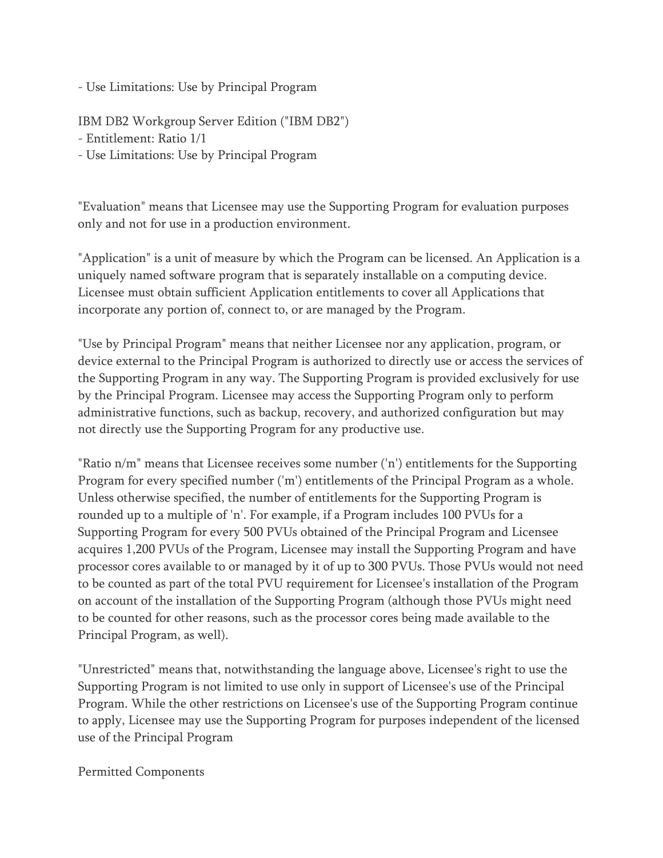- Use Limitations: Use by Principal Program

IBM DB2 Workgroup Server Edition ("IBM DB2")

- Entitlement: Ratio 1/1
- Use Limitations: Use by Principal Program

"Evaluation" means that Licensee may use the Supporting Program for evaluation purposes only and not for use in a production environment.

"Application" is a unit of measure by which the Program can be licensed. An Application is a uniquely named software program that is separately installable on a computing device. Licensee must obtain sufficient Application entitlements to cover all Applications that incorporate any portion of, connect to, or are managed by the Program.

"Use by Principal Program" means that neither Licensee nor any application, program, or device external to the Principal Program is authorized to directly use or access the services of the Supporting Program in any way. The Supporting Program is provided exclusively for use by the Principal Program. Licensee may access the Supporting Program only to perform administrative functions, such as backup, recovery, and authorized configuration but may not directly use the Supporting Program for any productive use.

"Ratio n/m" means that Licensee receives some number ('n') entitlements for the Supporting Program for every specified number ('m') entitlements of the Principal Program as a whole. Unless otherwise specified, the number of entitlements for the Supporting Program is rounded up to a multiple of 'n'. For example, if a Program includes 100 PVUs for a Supporting Program for every 500 PVUs obtained of the Principal Program and Licensee acquires 1,200 PVUs of the Program, Licensee may install the Supporting Program and have processor cores available to or managed by it of up to 300 PVUs. Those PVUs would not need to be counted as part of the total PVU requirement for Licensee's installation of the Program on account of the installation of the Supporting Program (although those PVUs might need to be counted for other reasons, such as the processor cores being made available to the Principal Program, as well).

"Unrestricted" means that, notwithstanding the language above, Licensee's right to use the Supporting Program is not limited to use only in support of Licensee's use of the Principal Program. While the other restrictions on Licensee's use of the Supporting Program continue to apply, Licensee may use the Supporting Program for purposes independent of the licensed use of the Principal Program

Permitted Components